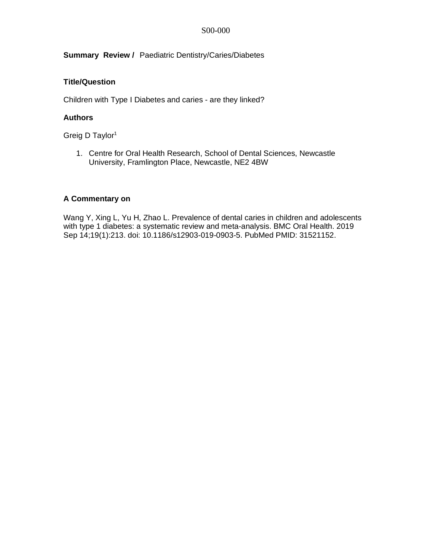**Summary Review /** Paediatric Dentistry/Caries/Diabetes

# **Title/Question**

Children with Type I Diabetes and caries - are they linked?

### **Authors**

Greig D Taylor1

1. Centre for Oral Health Research, School of Dental Sciences, Newcastle University, Framlington Place, Newcastle, NE2 4BW

#### **A Commentary on**

Wang Y, Xing L, Yu H, Zhao L. Prevalence of dental caries in children and adolescents with type 1 diabetes: a systematic review and meta-analysis. BMC Oral Health. 2019 Sep 14;19(1):213. doi: 10.1186/s12903-019-0903-5. PubMed PMID: 31521152.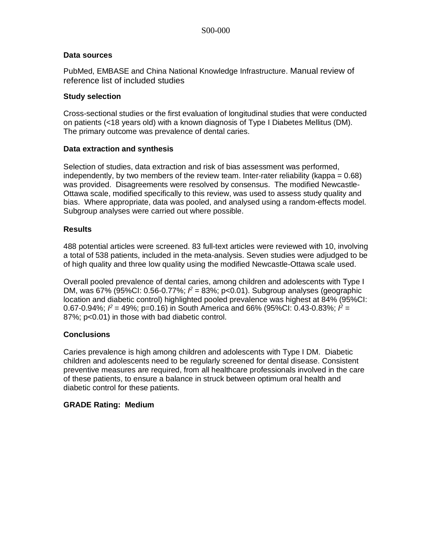#### **Data sources**

PubMed, EMBASE and China National Knowledge Infrastructure. Manual review of reference list of included studies

#### **Study selection**

Cross-sectional studies or the first evaluation of longitudinal studies that were conducted on patients (<18 years old) with a known diagnosis of Type I Diabetes Mellitus (DM). The primary outcome was prevalence of dental caries.

### **Data extraction and synthesis**

Selection of studies, data extraction and risk of bias assessment was performed, independently, by two members of the review team. Inter-rater reliability (kappa =  $0.68$ ) was provided. Disagreements were resolved by consensus. The modified Newcastle-Ottawa scale, modified specifically to this review, was used to assess study quality and bias. Where appropriate, data was pooled, and analysed using a random-effects model. Subgroup analyses were carried out where possible.

### **Results**

488 potential articles were screened. 83 full-text articles were reviewed with 10, involving a total of 538 patients, included in the meta-analysis. Seven studies were adjudged to be of high quality and three low quality using the modified Newcastle-Ottawa scale used.

Overall pooled prevalence of dental caries, among children and adolescents with Type I DM, was 67% (95%CI: 0.56-0.77%; *I <sup>2</sup>* = 83%; p<0.01). Subgroup analyses (geographic location and diabetic control) highlighted pooled prevalence was highest at 84% (95%CI: 0.67-0.94%;  $\ell$  = 49%; p=0.16) in South America and 66% (95%CI: 0.43-0.83%;  $\ell$  = 87%; p<0.01) in those with bad diabetic control.

## **Conclusions**

Caries prevalence is high among children and adolescents with Type I DM. Diabetic children and adolescents need to be regularly screened for dental disease. Consistent preventive measures are required, from all healthcare professionals involved in the care of these patients, to ensure a balance in struck between optimum oral health and diabetic control for these patients.

#### **GRADE Rating: Medium**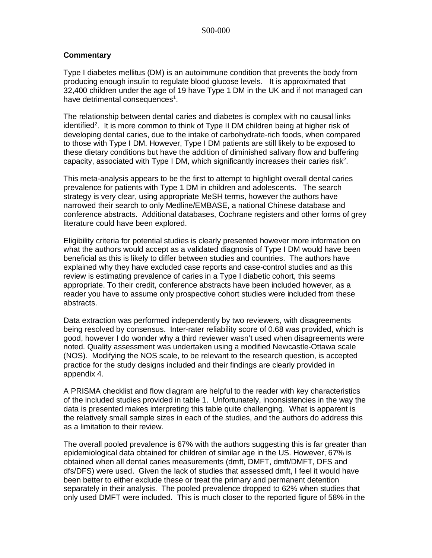### **Commentary**

Type I diabetes mellitus (DM) is an autoimmune condition that prevents the body from producing enough insulin to regulate blood glucose levels. It is approximated that 32,400 children under the age of 19 have Type 1 DM in the UK and if not managed can have detrimental consequences<sup>1</sup>.

The relationship between dental caries and diabetes is complex with no causal links identified<sup>2</sup>. It is more common to think of Type II DM children being at higher risk of developing dental caries, due to the intake of carbohydrate-rich foods, when compared to those with Type I DM. However, Type I DM patients are still likely to be exposed to these dietary conditions but have the addition of diminished salivary flow and buffering capacity, associated with Type I DM, which significantly increases their caries risk<sup>2</sup>.

This meta-analysis appears to be the first to attempt to highlight overall dental caries prevalence for patients with Type 1 DM in children and adolescents. The search strategy is very clear, using appropriate MeSH terms, however the authors have narrowed their search to only Medline/EMBASE, a national Chinese database and conference abstracts. Additional databases, Cochrane registers and other forms of grey literature could have been explored.

Eligibility criteria for potential studies is clearly presented however more information on what the authors would accept as a validated diagnosis of Type I DM would have been beneficial as this is likely to differ between studies and countries. The authors have explained why they have excluded case reports and case-control studies and as this review is estimating prevalence of caries in a Type I diabetic cohort, this seems appropriate. To their credit, conference abstracts have been included however, as a reader you have to assume only prospective cohort studies were included from these abstracts.

Data extraction was performed independently by two reviewers, with disagreements being resolved by consensus. Inter-rater reliability score of 0.68 was provided, which is good, however I do wonder why a third reviewer wasn't used when disagreements were noted. Quality assessment was undertaken using a modified Newcastle-Ottawa scale (NOS). Modifying the NOS scale, to be relevant to the research question, is accepted practice for the study designs included and their findings are clearly provided in appendix 4.

A PRISMA checklist and flow diagram are helpful to the reader with key characteristics of the included studies provided in table 1. Unfortunately, inconsistencies in the way the data is presented makes interpreting this table quite challenging. What is apparent is the relatively small sample sizes in each of the studies, and the authors do address this as a limitation to their review.

The overall pooled prevalence is 67% with the authors suggesting this is far greater than epidemiological data obtained for children of similar age in the US. However, 67% is obtained when all dental caries measurements (dmft, DMFT, dmft/DMFT, DFS and dfs/DFS) were used. Given the lack of studies that assessed dmft, I feel it would have been better to either exclude these or treat the primary and permanent detention separately in their analysis. The pooled prevalence dropped to 62% when studies that only used DMFT were included. This is much closer to the reported figure of 58% in the